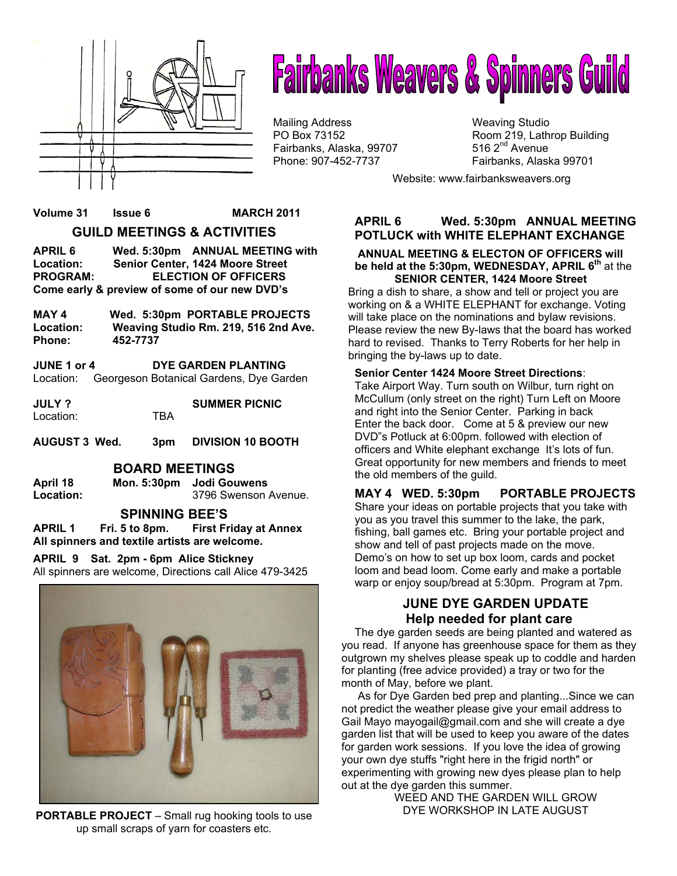

# **Fairbanks Weavers & Spinners Guild**

Mailing Address Mailing Studio<br>
PO Box 73152 May 19, Lath Fairbanks, Alaska, 99707 Phone: 907-452-7737 Fairbanks, Alaska 99701

Room 219, Lathrop Building 516  $2<sup>nd</sup>$  Avenue

Website: www.fairbanksweavers.org

#### **Volume 31 Issue 6 MARCH 2011 GUILD MEETINGS & ACTIVITIES**

**APRIL 6 Wed. 5:30pm ANNUAL MEETING with Location: Senior Center, 1424 Moore Street PROGRAM: ELECTION OF OFFICERS Come early & preview of some of our new DVD's** 

**MAY 4 Wed. 5:30pm PORTABLE PROJECTS Location: Weaving Studio Rm. 219, 516 2nd Ave. Phone: 452-7737** 

**JUNE 1 or 4 DYE GARDEN PLANTING**  Location: Georgeson Botanical Gardens, Dye Garden

| JULY ?    |     | <b>SUMMER PICNIC</b> |
|-----------|-----|----------------------|
| Location: | TRA |                      |

**AUGUST 3 Wed. 3pm DIVISION 10 BOOTH**

#### **BOARD MEETINGS**

**April 18 Mon. 5:30pm Jodi Gouwens Location:** 3796 Swenson Avenue.

#### **SPINNING BEE'S**

**APRIL 1 Fri. 5 to 8pm. First Friday at Annex All spinners and textile artists are welcome.** 

**APRIL 9 Sat. 2pm - 6pm Alice Stickney** 

All spinners are welcome, Directions call Alice 479-3425



**PORTABLE PROJECT** – Small rug hooking tools to use up small scraps of yarn for coasters etc.

#### **APRIL 6 Wed. 5:30pm ANNUAL MEETING POTLUCK with WHITE ELEPHANT EXCHANGE**

 **ANNUAL MEETING & ELECTON OF OFFICERS will be held at the 5:30pm, WEDNESDAY, APRIL 6th** at the  **SENIOR CENTER, 1424 Moore Street** 

Bring a dish to share, a show and tell or project you are working on & a WHITE ELEPHANT for exchange. Voting will take place on the nominations and bylaw revisions. Please review the new By-laws that the board has worked hard to revised. Thanks to Terry Roberts for her help in bringing the by-laws up to date.

#### **Senior Center 1424 Moore Street Directions**:

Take Airport Way. Turn south on Wilbur, turn right on McCullum (only street on the right) Turn Left on Moore and right into the Senior Center. Parking in back Enter the back door. Come at 5 & preview our new DVD"s Potluck at 6:00pm. followed with election of officers and White elephant exchange It's lots of fun. Great opportunity for new members and friends to meet the old members of the guild.

**MAY 4 WED. 5:30pm PORTABLE PROJECTS**  Share your ideas on portable projects that you take with you as you travel this summer to the lake, the park, fishing, ball games etc. Bring your portable project and show and tell of past projects made on the move. Demo's on how to set up box loom, cards and pocket loom and bead loom. Come early and make a portable warp or enjoy soup/bread at 5:30pm. Program at 7pm.

#### **JUNE DYE GARDEN UPDATE Help needed for plant care**

The dye garden seeds are being planted and watered as you read. If anyone has greenhouse space for them as they outgrown my shelves please speak up to coddle and harden for planting (free advice provided) a tray or two for the month of May, before we plant.

 As for Dye Garden bed prep and planting...Since we can not predict the weather please give your email address to Gail Mayo mayogail@gmail.com and she will create a dye garden list that will be used to keep you aware of the dates for garden work sessions. If you love the idea of growing your own dye stuffs "right here in the frigid north" or experimenting with growing new dyes please plan to help out at the dye garden this summer.

WEED AND THE GARDEN WILL GROW DYE WORKSHOP IN LATE AUGUST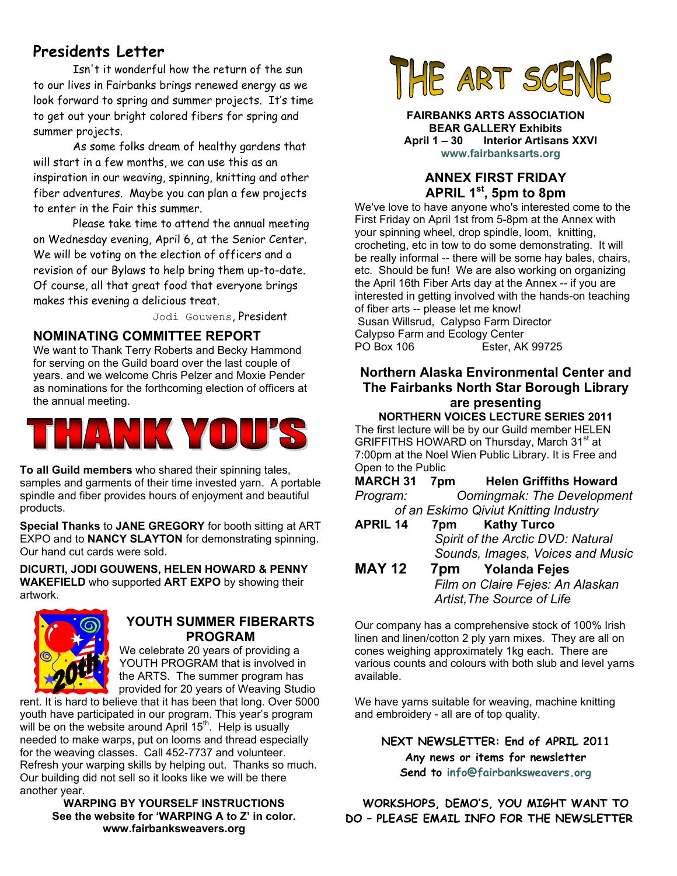#### **Presidents Letter**

 Isn't it wonderful how the return of the sun to our lives in Fairbanks brings renewed energy as we look forward to spring and summer projects. It's time to get out your bright colored fibers for spring and summer projects.

As some folks dream of healthy gardens that will start in a few months, we can use this as an inspiration in our weaving, spinning, knitting and other fiber adventures. Maybe you can plan a few projects to enter in the Fair this summer.

Please take time to attend the annual meeting on Wednesday evening, April 6, at the Senior Center. We will be voting on the election of officers and a revision of our Bylaws to help bring them up-to-date. Of course, all that great food that everyone brings makes this evening a delicious treat.

Jodi Gouwens, President

#### **NOMINATING COMMITTEE REPORT**

We want to Thank Terry Roberts and Becky Hammond for serving on the Guild board over the last couple of years. and we welcome Chris Pelzer and Moxie Pender as nominations for the forthcoming election of officers at the annual meeting.



**To all Guild members** who shared their spinning tales, samples and garments of their time invested yarn. A portable spindle and fiber provides hours of enjoyment and beautiful products.

**Special Thanks** to **JANE GREGORY** for booth sitting at ART EXPO and to **NANCY SLAYTON** for demonstrating spinning. Our hand cut cards were sold.

**DICURTI, JODI GOUWENS, HELEN HOWARD & PENNY WAKEFIELD** who supported **ART EXPO** by showing their artwork.



#### **YOUTH SUMMER FIBERARTS PROGRAM**

We celebrate 20 years of providing a YOUTH PROGRAM that is involved in the ARTS. The summer program has provided for 20 years of Weaving Studio

rent. It is hard to believe that it has been that long. Over 5000 youth have participated in our program. This year's program will be on the website around April  $15<sup>th</sup>$ . Help is usually needed to make warps, put on looms and thread especially for the weaving classes. Call 452-7737 and volunteer. Refresh your warping skills by helping out. Thanks so much. Our building did not sell so it looks like we will be there another year.

**WARPING BY YOURSELF INSTRUCTIONS See the website for 'WARPING A to Z' in color. www.fairbanksweavers.org**



**FAIRBANKS ARTS ASSOCIATION BEAR GALLERY Exhibits April 1 – 30 Interior Artisans XXVI www.fairbanksarts.org**

#### **ANNEX FIRST FRIDAY APRIL 1st, 5pm to 8pm**

We've love to have anyone who's interested come to the First Friday on April 1st from 5-8pm at the Annex with your spinning wheel, drop spindle, loom, knitting, crocheting, etc in tow to do some demonstrating. It will be really informal -- there will be some hay bales, chairs, etc. Should be fun! We are also working on organizing the April 16th Fiber Arts day at the Annex -- if you are interested in getting involved with the hands-on teaching of fiber arts -- please let me know!

 Susan Willsrud, Calypso Farm Director Calypso Farm and Ecology Center PO Box 106 Ester, AK 99725

#### **Northern Alaska Environmental Center and The Fairbanks North Star Borough Library are presenting**

**NORTHERN VOICES LECTURE SERIES 2011**  The first lecture will be by our Guild member HELEN GRIFFITHS HOWARD on Thursday, March 31<sup>st</sup> at 7:00pm at the Noel Wien Public Library. It is Free and Open to the Public

**MARCH 31 7pm Helen Griffiths Howard**  *Program: Oomingmak: The Development of an Eskimo Qiviut Knitting Industry*

- **APRIL 14 7pm Kathy Turco**   *Spirit of the Arctic DVD: Natural Sounds, Images, Voices and Music*
- **MAY 12 7pm Yolanda Fejes**   *Film on Claire Fejes: An Alaskan Artist,The Source of Life*

Our company has a comprehensive stock of 100% Irish linen and linen/cotton 2 ply yarn mixes. They are all on cones weighing approximately 1kg each. There are various counts and colours with both slub and level yarns available.

We have yarns suitable for weaving, machine knitting and embroidery - all are of top quality.

> **NEXT NEWSLETTER: End of APRIL 2011 Any news or items for newsletter Send to info@fairbanksweavers.org**

**WORKSHOPS, DEMO'S, YOU MIGHT WANT TO DO – PLEASE EMAIL INFO FOR THE NEWSLETTER**